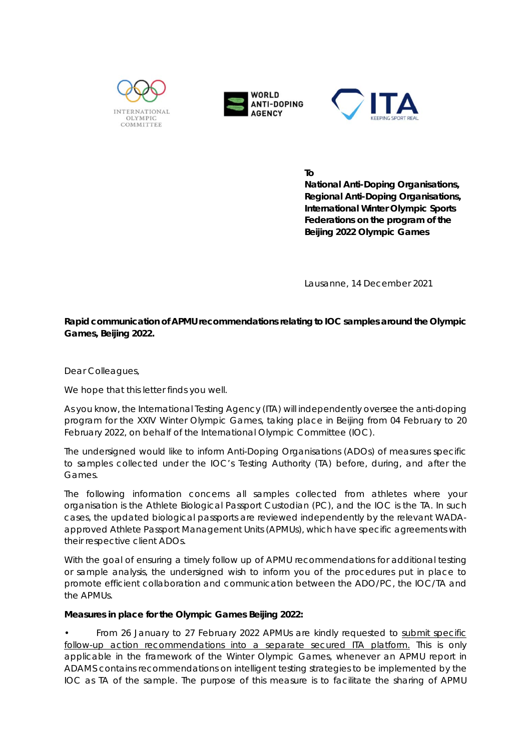





**To** 

**National Anti-Doping Organisations, Regional Anti-Doping Organisations, International Winter Olympic Sports Federations on the program of the Beijing 2022 Olympic Games** 

Lausanne, 14 December 2021

## **Rapid communication of APMU recommendations relating to IOC samples around the Olympic Games, Beijing 2022.**

Dear Colleagues,

We hope that this letter finds you well.

As you know, the International Testing Agency (ITA) will independently oversee the anti-doping program for the XXIV Winter Olympic Games, taking place in Beijing from 04 February to 20 February 2022, on behalf of the International Olympic Committee (IOC).

The undersigned would like to inform Anti-Doping Organisations (ADOs) of measures specific to samples collected under the IOC's Testing Authority (TA) before, during, and after the Games.

The following information concerns all samples collected from athletes where your organisation is the Athlete Biological Passport Custodian (PC), and the IOC is the TA. In such cases, the updated biological passports are reviewed independently by the relevant WADAapproved Athlete Passport Management Units (APMUs), which have specific agreements with their respective client ADOs.

With the goal of ensuring a timely follow up of APMU recommendations for additional testing or sample analysis, the undersigned wish to inform you of the procedures put in place to promote efficient collaboration and communication between the ADO/PC, the IOC/TA and the APMUs.

## **Measures in place for the Olympic Games Beijing 2022:**

From 26 January to 27 February 2022 APMUs are kindly requested to submit specific follow-up action recommendations into a separate secured ITA platform. This is only applicable in the framework of the Winter Olympic Games, whenever an APMU report in ADAMS contains recommendations on intelligent testing strategies to be implemented by the IOC as TA of the sample. The purpose of this measure is to facilitate the sharing of APMU